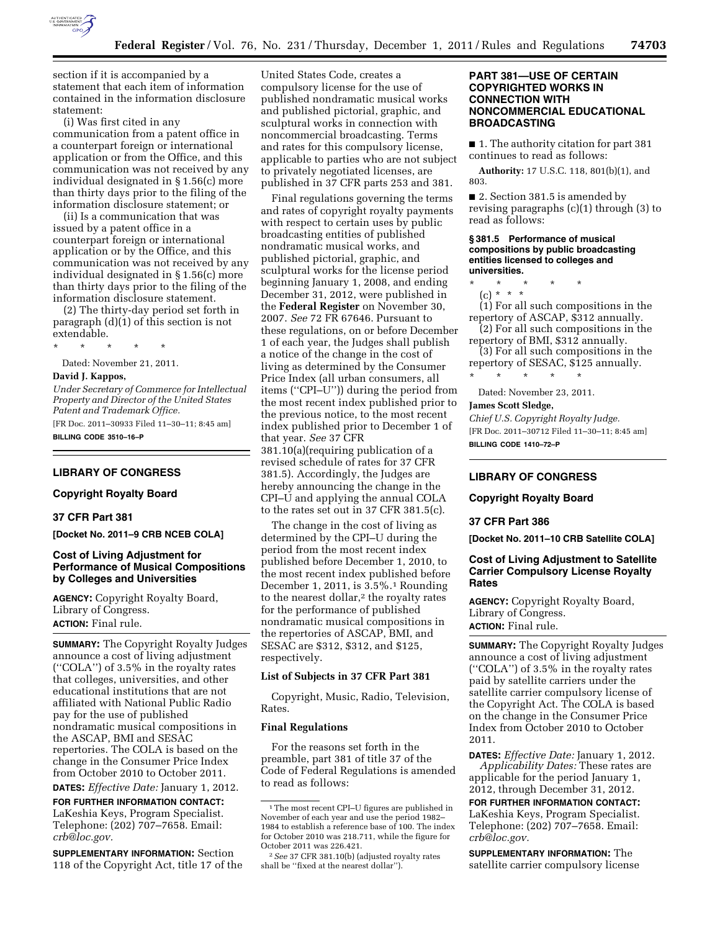

section if it is accompanied by a statement that each item of information contained in the information disclosure statement:

(i) Was first cited in any communication from a patent office in a counterpart foreign or international application or from the Office, and this communication was not received by any individual designated in § 1.56(c) more than thirty days prior to the filing of the information disclosure statement; or

(ii) Is a communication that was issued by a patent office in a counterpart foreign or international application or by the Office, and this communication was not received by any individual designated in § 1.56(c) more than thirty days prior to the filing of the information disclosure statement.

(2) The thirty-day period set forth in paragraph (d)(1) of this section is not extendable.

\* \* \* \* \*

Dated: November 21, 2011.

#### **David J. Kappos,**

*Under Secretary of Commerce for Intellectual Property and Director of the United States Patent and Trademark Office.* 

[FR Doc. 2011–30933 Filed 11–30–11; 8:45 am] **BILLING CODE 3510–16–P** 

## **LIBRARY OF CONGRESS**

### **Copyright Royalty Board**

#### **37 CFR Part 381**

**[Docket No. 2011–9 CRB NCEB COLA]** 

## **Cost of Living Adjustment for Performance of Musical Compositions by Colleges and Universities**

**AGENCY:** Copyright Royalty Board, Library of Congress. **ACTION:** Final rule.

**SUMMARY:** The Copyright Royalty Judges announce a cost of living adjustment (''COLA'') of 3.5% in the royalty rates that colleges, universities, and other educational institutions that are not affiliated with National Public Radio pay for the use of published nondramatic musical compositions in the ASCAP, BMI and SESAC repertories. The COLA is based on the change in the Consumer Price Index from October 2010 to October 2011.

**DATES:** *Effective Date:* January 1, 2012.

**FOR FURTHER INFORMATION CONTACT:**  LaKeshia Keys, Program Specialist. Telephone: (202) 707–7658. Email: *[crb@loc.gov.](mailto:crb@loc.gov)* 

**SUPPLEMENTARY INFORMATION:** Section 118 of the Copyright Act, title 17 of the

United States Code, creates a compulsory license for the use of published nondramatic musical works and published pictorial, graphic, and sculptural works in connection with noncommercial broadcasting. Terms and rates for this compulsory license, applicable to parties who are not subject to privately negotiated licenses, are published in 37 CFR parts 253 and 381.

Final regulations governing the terms and rates of copyright royalty payments with respect to certain uses by public broadcasting entities of published nondramatic musical works, and published pictorial, graphic, and sculptural works for the license period beginning January 1, 2008, and ending December 31, 2012, were published in the **Federal Register** on November 30, 2007. *See* 72 FR 67646. Pursuant to these regulations, on or before December 1 of each year, the Judges shall publish a notice of the change in the cost of living as determined by the Consumer Price Index (all urban consumers, all items (''CPI–U'')) during the period from the most recent index published prior to the previous notice, to the most recent index published prior to December 1 of that year. *See* 37 CFR 381.10(a)(requiring publication of a revised schedule of rates for 37 CFR 381.5). Accordingly, the Judges are hereby announcing the change in the CPI–U and applying the annual COLA to the rates set out in 37 CFR 381.5(c).

The change in the cost of living as determined by the CPI–U during the period from the most recent index published before December 1, 2010, to the most recent index published before December 1, 2011, is 3.5%.1 Rounding to the nearest dollar,2 the royalty rates for the performance of published nondramatic musical compositions in the repertories of ASCAP, BMI, and SESAC are \$312, \$312, and \$125, respectively.

### **List of Subjects in 37 CFR Part 381**

Copyright, Music, Radio, Television, Rates.

### **Final Regulations**

For the reasons set forth in the preamble, part 381 of title 37 of the Code of Federal Regulations is amended to read as follows:

### **PART 381—USE OF CERTAIN COPYRIGHTED WORKS IN CONNECTION WITH NONCOMMERCIAL EDUCATIONAL BROADCASTING**

■ 1. The authority citation for part 381 continues to read as follows:

**Authority:** 17 U.S.C. 118, 801(b)(1), and 803.

■ 2. Section 381.5 is amended by revising paragraphs  $(c)(1)$  through  $(3)$  to read as follows:

#### **§ 381.5 Performance of musical compositions by public broadcasting entities licensed to colleges and universities.**

- \* \* \* \* \*
- (c) \* \* \* (1) For all such compositions in the

repertory of ASCAP, \$312 annually. (2) For all such compositions in the

repertory of BMI, \$312 annually. (3) For all such compositions in the repertory of SESAC, \$125 annually.

\* \* \* \* \*

Dated: November 23, 2011.

# **James Scott Sledge,**

*Chief U.S. Copyright Royalty Judge.*  [FR Doc. 2011–30712 Filed 11–30–11; 8:45 am] **BILLING CODE 1410–72–P** 

# **LIBRARY OF CONGRESS**

#### **Copyright Royalty Board**

### **37 CFR Part 386**

**[Docket No. 2011–10 CRB Satellite COLA]** 

## **Cost of Living Adjustment to Satellite Carrier Compulsory License Royalty Rates**

**AGENCY:** Copyright Royalty Board, Library of Congress. **ACTION:** Final rule.

**SUMMARY:** The Copyright Royalty Judges announce a cost of living adjustment (''COLA'') of 3.5% in the royalty rates paid by satellite carriers under the satellite carrier compulsory license of the Copyright Act. The COLA is based on the change in the Consumer Price Index from October 2010 to October 2011.

**DATES:** *Effective Date:* January 1, 2012. *Applicability Dates:* These rates are applicable for the period January 1, 2012, through December 31, 2012.

**FOR FURTHER INFORMATION CONTACT:**  LaKeshia Keys, Program Specialist. Telephone: (202) 707–7658. Email: *[crb@loc.gov.](mailto:crb@loc.gov)* 

**SUPPLEMENTARY INFORMATION:** The satellite carrier compulsory license

<sup>1</sup>The most recent CPI–U figures are published in November of each year and use the period 1982– 1984 to establish a reference base of 100. The index for October 2010 was 218.711, while the figure for October 2011 was 226.421.

<sup>2</sup>*See* 37 CFR 381.10(b) (adjusted royalty rates shall be ''fixed at the nearest dollar'').